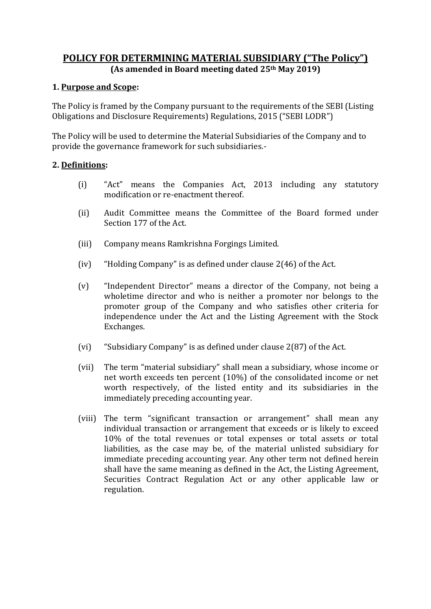# **POLICY FOR DETERMINING MATERIAL SUBSIDIARY ("The Policy") (As amended in Board meeting dated 25th May 2019)**

## **1. Purpose and Scope:**

The Policy is framed by the Company pursuant to the requirements of the SEBI (Listing Obligations and Disclosure Requirements) Regulations, 2015 ("SEBI LODR")

The Policy will be used to determine the Material Subsidiaries of the Company and to provide the governance framework for such subsidiaries.-

## **2. Definitions:**

- (i) "Act" means the Companies Act, 2013 including any statutory modification or re-enactment thereof.
- (ii) Audit Committee means the Committee of the Board formed under Section 177 of the Act.
- (iii) Company means Ramkrishna Forgings Limited.
- (iv) "Holding Company" is as defined under clause 2(46) of the Act.
- (v) "Independent Director" means a director of the Company, not being a wholetime director and who is neither a promoter nor belongs to the promoter group of the Company and who satisfies other criteria for independence under the Act and the Listing Agreement with the Stock Exchanges.
- (vi) "Subsidiary Company" is as defined under clause 2(87) of the Act.
- (vii) The term "material subsidiary" shall mean a subsidiary, whose income or net worth exceeds ten percent (10%) of the consolidated income or net worth respectively, of the listed entity and its subsidiaries in the immediately preceding accounting year.
- (viii) The term "significant transaction or arrangement" shall mean any individual transaction or arrangement that exceeds or is likely to exceed 10% of the total revenues or total expenses or total assets or total liabilities, as the case may be, of the material unlisted subsidiary for immediate preceding accounting year. Any other term not defined herein shall have the same meaning as defined in the Act, the Listing Agreement, Securities Contract Regulation Act or any other applicable law or regulation.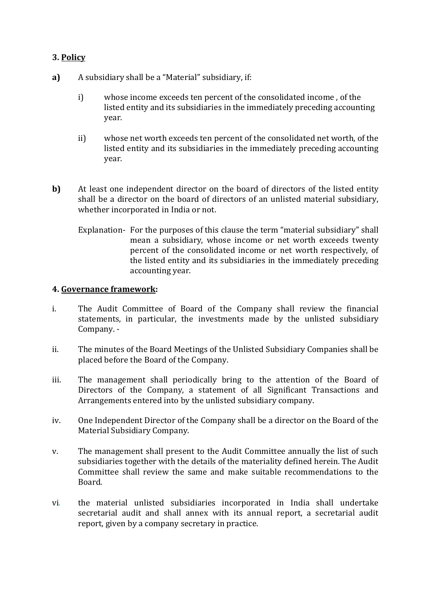## **3. Policy**

- **a)** A subsidiary shall be a "Material" subsidiary, if:
	- i) whose income exceeds ten percent of the consolidated income , of the listed entity and its subsidiaries in the immediately preceding accounting year.
	- ii) whose net worth exceeds ten percent of the consolidated net worth, of the listed entity and its subsidiaries in the immediately preceding accounting year.
- **b)** At least one independent director on the board of directors of the listed entity shall be a director on the board of directors of an unlisted material subsidiary, whether incorporated in India or not.
	- Explanation- For the purposes of this clause the term "material subsidiary" shall mean a subsidiary, whose income or net worth exceeds twenty percent of the consolidated income or net worth respectively, of the listed entity and its subsidiaries in the immediately preceding accounting year.

## **4. Governance framework:**

- i. The Audit Committee of Board of the Company shall review the financial statements, in particular, the investments made by the unlisted subsidiary Company. -
- ii. The minutes of the Board Meetings of the Unlisted Subsidiary Companies shall be placed before the Board of the Company.
- iii. The management shall periodically bring to the attention of the Board of Directors of the Company, a statement of all Significant Transactions and Arrangements entered into by the unlisted subsidiary company.
- iv. One Independent Director of the Company shall be a director on the Board of the Material Subsidiary Company.
- v. The management shall present to the Audit Committee annually the list of such subsidiaries together with the details of the materiality defined herein. The Audit Committee shall review the same and make suitable recommendations to the Board.
- vi. the material unlisted subsidiaries incorporated in India shall undertake secretarial audit and shall annex with its annual report, a secretarial audit report, given by a company secretary in practice.